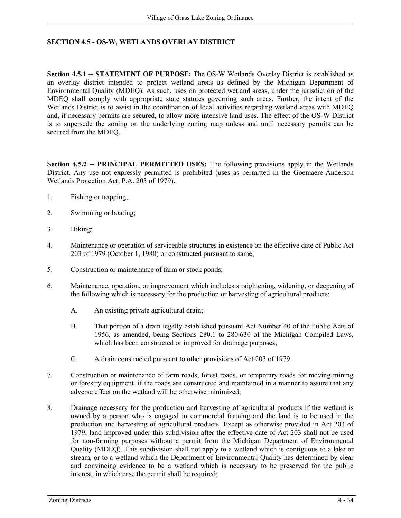## **SECTION 4.5 - OS-W, WETLANDS OVERLAY DISTRICT**

**Section 4.5.1 -- STATEMENT OF PURPOSE:** The OS-W Wetlands Overlay District is established as an overlay district intended to protect wetland areas as defined by the Michigan Department of Environmental Quality (MDEQ). As such, uses on protected wetland areas, under the jurisdiction of the MDEQ shall comply with appropriate state statutes governing such areas. Further, the intent of the Wetlands District is to assist in the coordination of local activities regarding wetland areas with MDEQ and, if necessary permits are secured, to allow more intensive land uses. The effect of the OS-W District is to supersede the zoning on the underlying zoning map unless and until necessary permits can be secured from the MDEQ.

**Section 4.5.2 -- PRINCIPAL PERMITTED USES:** The following provisions apply in the Wetlands District. Any use not expressly permitted is prohibited (uses as permitted in the Goemaere-Anderson Wetlands Protection Act, P.A. 203 of 1979).

- 1. Fishing or trapping;
- 2. Swimming or boating;
- 3. Hiking;
- 4. Maintenance or operation of serviceable structures in existence on the effective date of Public Act 203 of 1979 (October 1, 1980) or constructed pursuant to same;
- 5. Construction or maintenance of farm or stock ponds;
- 6. Maintenance, operation, or improvement which includes straightening, widening, or deepening of the following which is necessary for the production or harvesting of agricultural products:
	- A. An existing private agricultural drain;
	- B. That portion of a drain legally established pursuant Act Number 40 of the Public Acts of 1956, as amended, being Sections 280.1 to 280.630 of the Michigan Compiled Laws, which has been constructed or improved for drainage purposes;
	- C. A drain constructed pursuant to other provisions of Act 203 of 1979.
- 7. Construction or maintenance of farm roads, forest roads, or temporary roads for moving mining or forestry equipment, if the roads are constructed and maintained in a manner to assure that any adverse effect on the wetland will be otherwise minimized;
- 8. Drainage necessary for the production and harvesting of agricultural products if the wetland is owned by a person who is engaged in commercial farming and the land is to be used in the production and harvesting of agricultural products. Except as otherwise provided in Act 203 of 1979, land improved under this subdivision after the effective date of Act 203 shall not be used for non-farming purposes without a permit from the Michigan Department of Environmental Quality (MDEQ). This subdivision shall not apply to a wetland which is contiguous to a lake or stream, or to a wetland which the Department of Environmental Quality has determined by clear and convincing evidence to be a wetland which is necessary to be preserved for the public interest, in which case the permit shall be required;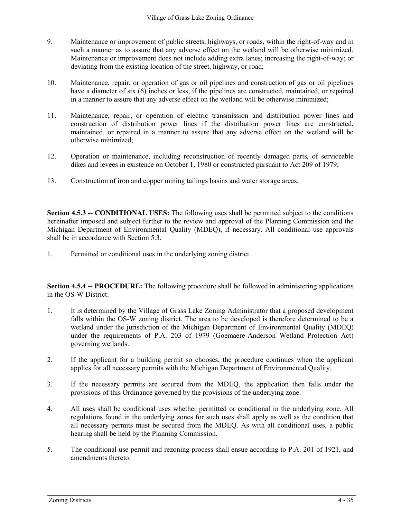- 9. Maintenance or improvement of public streets, highways, or roads, within the right-of-way and in such a manner as to assure that any adverse effect on the wetland will be otherwise minimized. Maintenance or improvement does not include adding extra lanes; increasing the right-of-way; or deviating from the existing location of the street, highway, or road;
- 10. Maintenance, repair, or operation of gas or oil pipelines and construction of gas or oil pipelines have a diameter of six (6) inches or less, if the pipelines are constructed, maintained, or repaired in a manner to assure that any adverse effect on the wetland will be otherwise minimized;
- 11. Maintenance, repair, or operation of electric transmission and distribution power lines and construction of distribution power lines if the distribution power lines are constructed, maintained, or repaired in a manner to assure that any adverse effect on the wetland will be otherwise minimized;
- 12. Operation or maintenance, including reconstruction of recently damaged parts, of serviceable dikes and levees in existence on October 1, 1980 or constructed pursuant to Act 209 of 1979;
- 13. Construction of iron and copper mining tailings basins and water storage areas.

**Section 4.5.3 -- <b>CONDITIONAL USES:** The following uses shall be permitted subject to the conditions hereinafter imposed and subject further to the review and approval of the Planning Commission and the Michigan Department of Environmental Quality (MDEQ), if necessary. All conditional use approvals shall be in accordance with Section 5.3.

1. Permitted or conditional uses in the underlying zoning district.

**Section 4.5.4 -- PROCEDURE:** The following procedure shall be followed in administering applications in the OS-W District:

- 1. It is determined by the Village of Grass Lake Zoning Administrator that a proposed development falls within the OS-W zoning district. The area to be developed is therefore determined to be a wetland under the jurisdiction of the Michigan Department of Environmental Quality (MDEQ) under the requirements of P.A. 203 of 1979 (Goemaere-Anderson Wetland Protection Act) governing wetlands.
- 2. If the applicant for a building permit so chooses, the procedure continues when the applicant applies for all necessary permits with the Michigan Department of Environmental Quality.
- 3. If the necessary permits are secured from the MDEQ, the application then falls under the provisions of this Ordinance governed by the provisions of the underlying zone.
- 4. All uses shall be conditional uses whether permitted or conditional in the underlying zone. All regulations found in the underlying zones for such uses shall apply as well as the condition that all necessary permits must be secured from the MDEQ. As with all conditional uses, a public hearing shall be held by the Planning Commission.
- 5. The conditional use permit and rezoning process shall ensue according to P.A. 201 of 1921, and amendments thereto.